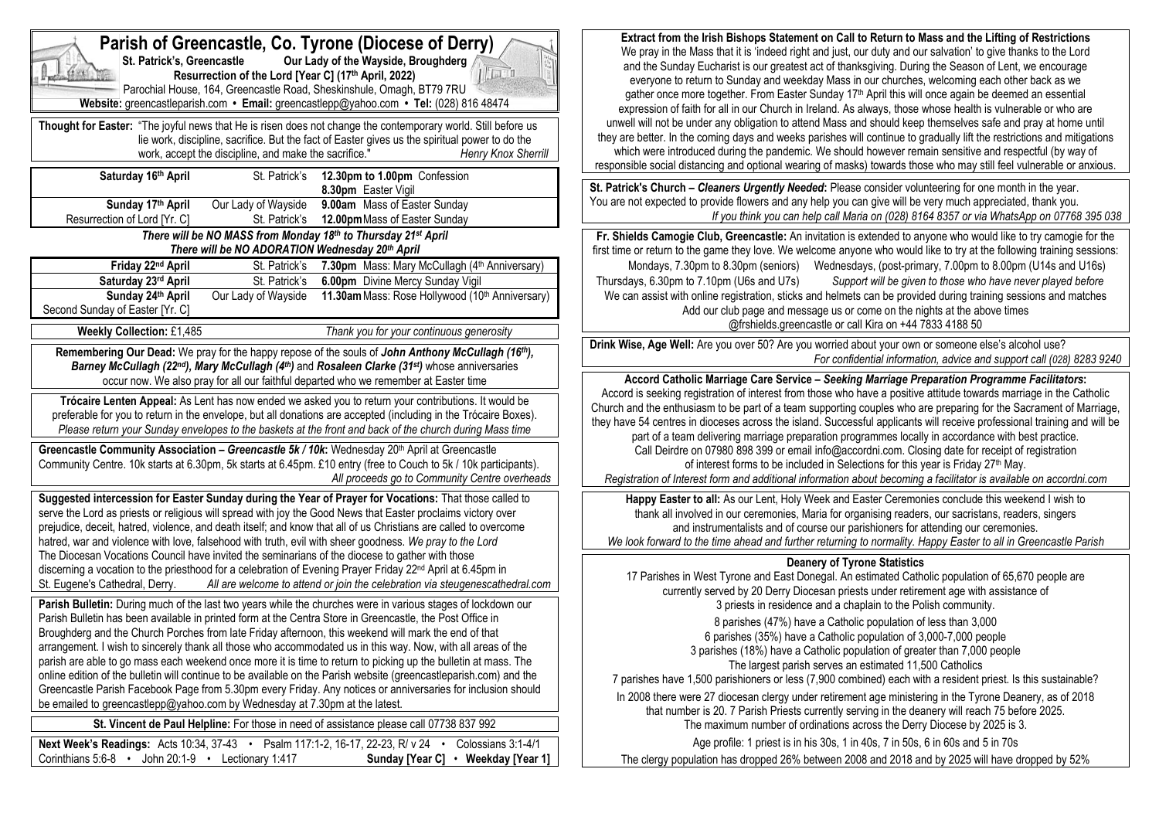| Parish of Greencastle, Co. Tyrone (Diocese of Derry)<br>St. Patrick's, Greencastle<br>Our Lady of the Wayside, Broughderg<br>$  \ln $<br>Resurrection of the Lord [Year C] (17th April, 2022)<br>Parochial House, 164, Greencastle Road, Sheskinshule, Omagh, BT79 7RU<br>Website: greencastleparish.com • Email: greencastlepp@yahoo.com • Tel: (028) 816 48474<br>Thought for Easter: "The joyful news that He is risen does not change the contemporary world. Still before us<br>lie work, discipline, sacrifice. But the fact of Easter gives us the spiritual power to do the | Extract from the Irish Bishops Statement on Call to Return to Mass and the Lifting of Restrictions<br>We pray in the Mass that it is 'indeed right and just, our duty and our salvation' to give thanks to the Lord<br>and the Sunday Eucharist is our greatest act of thanksgiving. During the Season of Lent, we encourage<br>everyone to return to Sunday and weekday Mass in our churches, welcoming each other back as we<br>gather once more together. From Easter Sunday 17 <sup>th</sup> April this will once again be deemed an essential<br>expression of faith for all in our Church in Ireland. As always, those whose health is vulnerable or who are<br>unwell will not be under any obligation to attend Mass and should keep themselves safe and pray at home until<br>they are better. In the coming days and weeks parishes will continue to gradually lift the restrictions and mitigations |  |
|-------------------------------------------------------------------------------------------------------------------------------------------------------------------------------------------------------------------------------------------------------------------------------------------------------------------------------------------------------------------------------------------------------------------------------------------------------------------------------------------------------------------------------------------------------------------------------------|----------------------------------------------------------------------------------------------------------------------------------------------------------------------------------------------------------------------------------------------------------------------------------------------------------------------------------------------------------------------------------------------------------------------------------------------------------------------------------------------------------------------------------------------------------------------------------------------------------------------------------------------------------------------------------------------------------------------------------------------------------------------------------------------------------------------------------------------------------------------------------------------------------------|--|
| work, accept the discipline, and make the sacrifice."<br>Henry Knox Sherrill                                                                                                                                                                                                                                                                                                                                                                                                                                                                                                        | which were introduced during the pandemic. We should however remain sensitive and respectful (by way of<br>responsible social distancing and optional wearing of masks) towards those who may still feel vulnerable or anxious.                                                                                                                                                                                                                                                                                                                                                                                                                                                                                                                                                                                                                                                                                |  |
| Saturday 16th April<br>St. Patrick's 12.30pm to 1.00pm Confession<br>8.30pm Easter Vigil<br>Our Lady of Wayside<br>9.00am Mass of Easter Sunday<br>Sunday 17th April<br>Resurrection of Lord [Yr. C]<br>St. Patrick's<br>12.00pm Mass of Easter Sunday                                                                                                                                                                                                                                                                                                                              | St. Patrick's Church - Cleaners Urgently Needed: Please consider volunteering for one month in the year.<br>You are not expected to provide flowers and any help you can give will be very much appreciated, thank you.<br>If you think you can help call Maria on (028) 8164 8357 or via WhatsApp on 07768 395 038                                                                                                                                                                                                                                                                                                                                                                                                                                                                                                                                                                                            |  |
| There will be NO MASS from Monday 18th to Thursday 21st April                                                                                                                                                                                                                                                                                                                                                                                                                                                                                                                       | Fr. Shields Camogie Club, Greencastle: An invitation is extended to anyone who would like to try camogie for the                                                                                                                                                                                                                                                                                                                                                                                                                                                                                                                                                                                                                                                                                                                                                                                               |  |
| There will be NO ADORATION Wednesday 20th April                                                                                                                                                                                                                                                                                                                                                                                                                                                                                                                                     | first time or return to the game they love. We welcome anyone who would like to try at the following training sessions:                                                                                                                                                                                                                                                                                                                                                                                                                                                                                                                                                                                                                                                                                                                                                                                        |  |
| Friday 22nd April<br>St. Patrick's 7.30pm Mass: Mary McCullagh (4th Anniversary)<br>Saturday 23rd April<br>St. Patrick's 6.00pm Divine Mercy Sunday Vigil                                                                                                                                                                                                                                                                                                                                                                                                                           | Mondays, 7.30pm to 8.30pm (seniors) Wednesdays, (post-primary, 7.00pm to 8.00pm (U14s and U16s)<br>Thursdays, 6.30pm to 7.10pm (U6s and U7s)<br>Support will be given to those who have never played before                                                                                                                                                                                                                                                                                                                                                                                                                                                                                                                                                                                                                                                                                                    |  |
| Sunday 24th April<br>Our Lady of Wayside 11.30am Mass: Rose Hollywood (10th Anniversary)<br>Second Sunday of Easter [Yr. C]                                                                                                                                                                                                                                                                                                                                                                                                                                                         | We can assist with online registration, sticks and helmets can be provided during training sessions and matches<br>Add our club page and message us or come on the nights at the above times                                                                                                                                                                                                                                                                                                                                                                                                                                                                                                                                                                                                                                                                                                                   |  |
| <b>Weekly Collection: £1,485</b><br>Thank you for your continuous generosity                                                                                                                                                                                                                                                                                                                                                                                                                                                                                                        | @frshields.greencastle or call Kira on +44 7833 4188 50<br>Drink Wise, Age Well: Are you over 50? Are you worried about your own or someone else's alcohol use?                                                                                                                                                                                                                                                                                                                                                                                                                                                                                                                                                                                                                                                                                                                                                |  |
| Remembering Our Dead: We pray for the happy repose of the souls of John Anthony McCullagh (16th),                                                                                                                                                                                                                                                                                                                                                                                                                                                                                   | For confidential information, advice and support call (028) 8283 9240                                                                                                                                                                                                                                                                                                                                                                                                                                                                                                                                                                                                                                                                                                                                                                                                                                          |  |
| Barney McCullagh (22nd), Mary McCullagh (4th) and Rosaleen Clarke (31 <sup>st</sup> ) whose anniversaries<br>occur now. We also pray for all our faithful departed who we remember at Easter time<br>Trócaire Lenten Appeal: As Lent has now ended we asked you to return your contributions. It would be                                                                                                                                                                                                                                                                           | Accord Catholic Marriage Care Service - Seeking Marriage Preparation Programme Facilitators:<br>Accord is seeking registration of interest from those who have a positive attitude towards marriage in the Catholic                                                                                                                                                                                                                                                                                                                                                                                                                                                                                                                                                                                                                                                                                            |  |
| preferable for you to return in the envelope, but all donations are accepted (including in the Trócaire Boxes).<br>Please return your Sunday envelopes to the baskets at the front and back of the church during Mass time                                                                                                                                                                                                                                                                                                                                                          | Church and the enthusiasm to be part of a team supporting couples who are preparing for the Sacrament of Marriage,<br>they have 54 centres in dioceses across the island. Successful applicants will receive professional training and will be<br>part of a team delivering marriage preparation programmes locally in accordance with best practice.                                                                                                                                                                                                                                                                                                                                                                                                                                                                                                                                                          |  |
| Greencastle Community Association - Greencastle 5k / 10k: Wednesday 20 <sup>th</sup> April at Greencastle<br>Community Centre. 10k starts at 6.30pm, 5k starts at 6.45pm. £10 entry (free to Couch to 5k / 10k participants).<br>All proceeds go to Community Centre overheads                                                                                                                                                                                                                                                                                                      | Call Deirdre on 07980 898 399 or email info@accordni.com. Closing date for receipt of registration<br>of interest forms to be included in Selections for this year is Friday 27 <sup>th</sup> May.<br>Registration of Interest form and additional information about becoming a facilitator is available on accordni.com                                                                                                                                                                                                                                                                                                                                                                                                                                                                                                                                                                                       |  |
| Suggested intercession for Easter Sunday during the Year of Prayer for Vocations: That those called to<br>serve the Lord as priests or religious will spread with joy the Good News that Easter proclaims victory over<br>prejudice, deceit, hatred, violence, and death itself; and know that all of us Christians are called to overcome<br>hatred, war and violence with love, falsehood with truth, evil with sheer goodness. We pray to the Lord                                                                                                                               | Happy Easter to all: As our Lent, Holy Week and Easter Ceremonies conclude this weekend I wish to<br>thank all involved in our ceremonies, Maria for organising readers, our sacristans, readers, singers<br>and instrumentalists and of course our parishioners for attending our ceremonies.<br>We look forward to the time ahead and further returning to normality. Happy Easter to all in Greencastle Parish                                                                                                                                                                                                                                                                                                                                                                                                                                                                                              |  |
| The Diocesan Vocations Council have invited the seminarians of the diocese to gather with those                                                                                                                                                                                                                                                                                                                                                                                                                                                                                     | <b>Deanery of Tyrone Statistics</b>                                                                                                                                                                                                                                                                                                                                                                                                                                                                                                                                                                                                                                                                                                                                                                                                                                                                            |  |
| discerning a vocation to the priesthood for a celebration of Evening Prayer Friday 22 <sup>nd</sup> April at 6.45pm in<br>All are welcome to attend or join the celebration via steugenescathedral.com<br>St. Eugene's Cathedral, Derry.<br>Parish Bulletin: During much of the last two years while the churches were in various stages of lockdown our                                                                                                                                                                                                                            | 17 Parishes in West Tyrone and East Donegal. An estimated Catholic population of 65,670 people are<br>currently served by 20 Derry Diocesan priests under retirement age with assistance of<br>3 priests in residence and a chaplain to the Polish community.                                                                                                                                                                                                                                                                                                                                                                                                                                                                                                                                                                                                                                                  |  |
| Parish Bulletin has been available in printed form at the Centra Store in Greencastle, the Post Office in<br>Broughderg and the Church Porches from late Friday afternoon, this weekend will mark the end of that                                                                                                                                                                                                                                                                                                                                                                   | 8 parishes (47%) have a Catholic population of less than 3,000<br>6 parishes (35%) have a Catholic population of 3,000-7,000 people                                                                                                                                                                                                                                                                                                                                                                                                                                                                                                                                                                                                                                                                                                                                                                            |  |
| arrangement. I wish to sincerely thank all those who accommodated us in this way. Now, with all areas of the<br>parish are able to go mass each weekend once more it is time to return to picking up the bulletin at mass. The                                                                                                                                                                                                                                                                                                                                                      | 3 parishes (18%) have a Catholic population of greater than 7,000 people<br>The largest parish serves an estimated 11,500 Catholics                                                                                                                                                                                                                                                                                                                                                                                                                                                                                                                                                                                                                                                                                                                                                                            |  |
| online edition of the bulletin will continue to be available on the Parish website (greencastleparish.com) and the                                                                                                                                                                                                                                                                                                                                                                                                                                                                  | 7 parishes have 1,500 parishioners or less (7,900 combined) each with a resident priest. Is this sustainable?                                                                                                                                                                                                                                                                                                                                                                                                                                                                                                                                                                                                                                                                                                                                                                                                  |  |
| Greencastle Parish Facebook Page from 5.30pm every Friday. Any notices or anniversaries for inclusion should<br>be emailed to greencastlepp@yahoo.com by Wednesday at 7.30pm at the latest.                                                                                                                                                                                                                                                                                                                                                                                         | In 2008 there were 27 diocesan clergy under retirement age ministering in the Tyrone Deanery, as of 2018                                                                                                                                                                                                                                                                                                                                                                                                                                                                                                                                                                                                                                                                                                                                                                                                       |  |
|                                                                                                                                                                                                                                                                                                                                                                                                                                                                                                                                                                                     |                                                                                                                                                                                                                                                                                                                                                                                                                                                                                                                                                                                                                                                                                                                                                                                                                                                                                                                |  |
|                                                                                                                                                                                                                                                                                                                                                                                                                                                                                                                                                                                     | that number is 20. 7 Parish Priests currently serving in the deanery will reach 75 before 2025.                                                                                                                                                                                                                                                                                                                                                                                                                                                                                                                                                                                                                                                                                                                                                                                                                |  |
| St. Vincent de Paul Helpline: For those in need of assistance please call 07738 837 992<br>Next Week's Readings: Acts 10:34, 37-43 • Psalm 117:1-2, 16-17, 22-23, R/ v 24 • Colossians 3:1-4/1<br>Sunday [Year C] • Weekday [Year 1]                                                                                                                                                                                                                                                                                                                                                | The maximum number of ordinations across the Derry Diocese by 2025 is 3.<br>Age profile: 1 priest is in his 30s, 1 in 40s, 7 in 50s, 6 in 60s and 5 in 70s                                                                                                                                                                                                                                                                                                                                                                                                                                                                                                                                                                                                                                                                                                                                                     |  |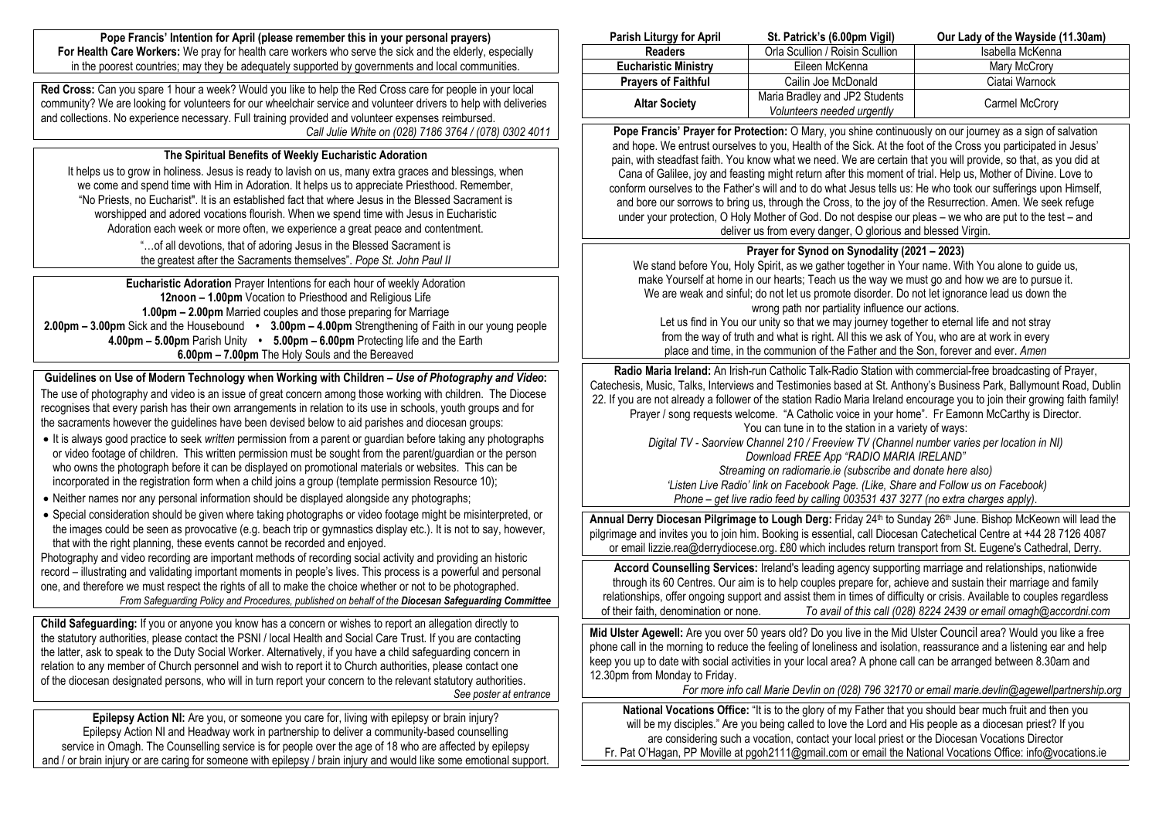**Pope Francis' Intention for April (please remember this in your personal prayers) For Health Care Workers:** We pray for health care workers who serve the sick and the elderly, especially in the poorest countries; may they be adequately supported by governments and local communities.

**Red Cross:** Can you spare 1 hour a week? Would you like to help the Red Cross care for people in your local community? We are looking for volunteers for our wheelchair service and volunteer drivers to help with deliveries and collections. No experience necessary. Full training provided and volunteer expenses reimbursed. *Call Julie White on (028) 7186 3764 / (078) 0302 4011*

### **The Spiritual Benefits of Weekly Eucharistic Adoration**

It helps us to grow in holiness, Jesus is ready to lavish on us, many extra graces and blessings, when we come and spend time with Him in Adoration. It helps us to appreciate Priesthood. Remember, "No Priests, no Eucharist". It is an established fact that where Jesus in the Blessed Sacrament is worshipped and adored vocations flourish. When we spend time with Jesus in Eucharistic Adoration each week or more often, we experience a great peace and contentment.

> "…of all devotions, that of adoring Jesus in the Blessed Sacrament is the greatest after the Sacraments themselves". *Pope St. John Paul II*

**Eucharistic Adoration** Prayer Intentions for each hour of weekly Adoration **12noon – 1.00pm** Vocation to Priesthood and Religious Life **1.00pm – 2.00pm** Married couples and those preparing for Marriage **2.00pm – 3.00pm** Sick and the Housebound **• 3.00pm – 4.00pm** Strengthening of Faith in our young people **4.00pm – 5.00pm** Parish Unity **• 5.00pm – 6.00pm** Protecting life and the Earth **6.00pm – 7.00pm** The Holy Souls and the Bereaved

**Guidelines on Use of Modern Technology when Working with Children –** *Use of Photography and Video***:** The use of photography and video is an issue of great concern among those working with children. The Diocese recognises that every parish has their own arrangements in relation to its use in schools, youth groups and for the sacraments however the guidelines have been devised below to aid parishes and diocesan groups:

- It is always good practice to seek *written* permission from a parent or guardian before taking any photographs or video footage of children. This written permission must be sought from the parent/guardian or the person who owns the photograph before it can be displayed on promotional materials or websites. This can be incorporated in the registration form when a child joins a group (template permission Resource 10);
- Neither names nor any personal information should be displayed alongside any photographs;
- Special consideration should be given where taking photographs or video footage might be misinterpreted, or the images could be seen as provocative (e.g. beach trip or gymnastics display etc.). It is not to say, however, that with the right planning, these events cannot be recorded and enjoyed.

Photography and video recording are important methods of recording social activity and providing an historic record – illustrating and validating important moments in people's lives. This process is a powerful and personal one, and therefore we must respect the rights of all to make the choice whether or not to be photographed. *From Safeguarding Policy and Procedures, published on behalf of the Diocesan Safeguarding Committee*

**Child Safeguarding:** If you or anyone you know has a concern or wishes to report an allegation directly to the statutory authorities, please contact the PSNI / local Health and Social Care Trust. If you are contacting the latter, ask to speak to the Duty Social Worker. Alternatively, if you have a child safeguarding concern in relation to any member of Church personnel and wish to report it to Church authorities, please contact one of the diocesan designated persons, who will in turn report your concern to the relevant statutory authorities. *See poster at entrance*

**Epilepsy Action NI:** Are you, or someone you care for, living with epilepsy or brain injury? Epilepsy Action NI and Headway work in partnership to deliver a community-based counselling service in Omagh. The Counselling service is for people over the age of 18 who are affected by epilepsy and / or brain injury or are caring for someone with epilepsy / brain injury and would like some emotional support.

| <b>Parish Liturgy for April</b> | St. Patrick's (6.00pm Vigil)    | Our Lady of the Wayside (11.30am) |
|---------------------------------|---------------------------------|-----------------------------------|
| <b>Readers</b>                  | Orla Scullion / Roisin Scullion | Isabella McKenna                  |
| <b>Eucharistic Ministry</b>     | Eileen McKenna                  | Mary McCrory                      |
| <b>Prayers of Faithful</b>      | Cailin Joe McDonald             | Ciatai Warnock                    |
| <b>Altar Society</b>            | Maria Bradley and JP2 Students  | Carmel McCrory                    |
|                                 | Volunteers needed urgently      |                                   |

**Pope Francis' Prayer for Protection:** O Mary, you shine continuously on our journey as a sign of salvation and hope. We entrust ourselves to you, Health of the Sick. At the foot of the Cross you participated in Jesus' pain, with steadfast faith. You know what we need. We are certain that you will provide, so that, as you did at Cana of Galilee, joy and feasting might return after this moment of trial. Help us, Mother of Divine. Love to conform ourselves to the Father's will and to do what Jesus tells us: He who took our sufferings upon Himself, and bore our sorrows to bring us, through the Cross, to the joy of the Resurrection. Amen. We seek refuge under your protection, O Holy Mother of God. Do not despise our pleas – we who are put to the test – and deliver us from every danger, O glorious and blessed Virgin.

## **Prayer for Synod on Synodality (2021 – 2023)**

We stand before You, Holy Spirit, as we gather together in Your name. With You alone to guide us, make Yourself at home in our hearts; Teach us the way we must go and how we are to pursue it. We are weak and sinful; do not let us promote disorder. Do not let ignorance lead us down the wrong path nor partiality influence our actions. Let us find in You our unity so that we may journey together to eternal life and not stray from the way of truth and what is right. All this we ask of You, who are at work in every place and time, in the communion of the Father and the Son, forever and ever. *Amen*

**Radio Maria Ireland:** An Irish-run Catholic Talk-Radio Station with commercial-free broadcasting of Prayer, Catechesis, Music, Talks, Interviews and Testimonies based at St. Anthony's Business Park, Ballymount Road, Dublin 22. If you are not already a follower of the station Radio Maria Ireland encourage you to join their growing faith family! Prayer / song requests welcome. "A Catholic voice in your home". Fr Eamonn McCarthy is Director. You can tune in to the station in a variety of ways: *Digital TV - Saorview Channel 210 / Freeview TV (Channel number varies per location in NI)*

*Download FREE App "RADIO MARIA IRELAND" Streaming on radiomarie.ie (subscribe and donate here also) 'Listen Live Radio' link on Facebook Page. (Like, Share and Follow us on Facebook)*

*Phone – get live radio feed by calling 003531 437 3277 (no extra charges apply).*

Annual Derry Diocesan Pilgrimage to Lough Derg: Friday 24<sup>th</sup> to Sunday 26<sup>th</sup> June. Bishop McKeown will lead the pilgrimage and invites you to join him. Booking is essential, call Diocesan Catechetical Centre at +44 28 7126 4087 or email lizzie.rea@derrydiocese.org. £80 which includes return transport from St. Eugene's Cathedral, Derry.

**Accord Counselling Services:** Ireland's leading agency supporting marriage and relationships, nationwide through its 60 Centres. Our aim is to help couples prepare for, achieve and sustain their marriage and family relationships, offer ongoing support and assist them in times of difficulty or crisis. Available to couples regardless of their faith, denomination or none. *To avail of this call (028) 8224 2439 or email omagh@accordni.com*

**Mid Ulster Agewell:** Are you over 50 years old? Do you live in the Mid Ulster Council area? Would you like a free phone call in the morning to reduce the feeling of loneliness and isolation, reassurance and a listening ear and help keep you up to date with social activities in your local area? A phone call can be arranged between 8.30am and 12.30pm from Monday to Friday.

*For more info call Marie Devlin on (028) 796 32170 or email [marie.devlin@agewellpartnership.org](mailto:marie.devlin@agewellpartnership.org)*

**National Vocations Office:** "It is to the glory of my Father that you should bear much fruit and then you will be my disciples." Are you being called to love the Lord and His people as a diocesan priest? If you are considering such a vocation, contact your local priest or the Diocesan Vocations Director Fr. Pat O'Hagan, PP Moville at pgoh2111@gmail.com or email the National Vocations Office: info@vocations.ie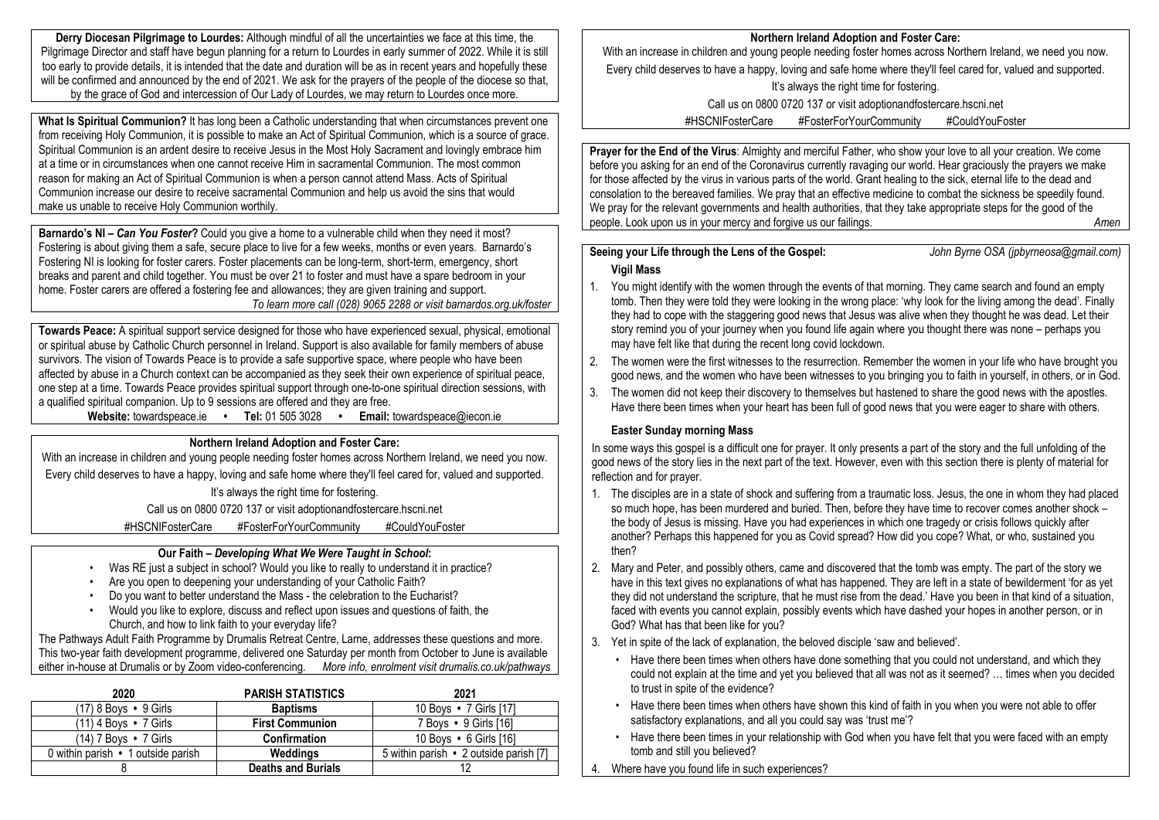**Derry Diocesan Pilgrimage to Lourdes:** Although mindful of all the uncertainties we face at this time, the Pilgrimage Director and staff have begun planning for a return to Lourdes in early summer of 2022. While it is still too early to provide details, it is intended that the date and duration will be as in recent years and hopefully these will be confirmed and announced by the end of 2021. We ask for the prayers of the people of the diocese so that, by the grace of God and intercession of Our Lady of Lourdes, we may return to Lourdes once more.

**What Is Spiritual Communion?** It has long been a Catholic understanding that when circumstances prevent one from receiving Holy Communion, it is possible to make an Act of Spiritual Communion, which is a source of grace. Spiritual Communion is an ardent desire to receive Jesus in the Most Holy Sacrament and lovingly embrace him at a time or in circumstances when one cannot receive Him in sacramental Communion. The most common reason for making an Act of Spiritual Communion is when a person cannot attend Mass. Acts of Spiritual Communion increase our desire to receive sacramental Communion and help us avoid the sins that would make us unable to receive Holy Communion worthily.

**Barnardo's NI –** *Can You Foster***?** Could you give a home to a vulnerable child when they need it most? Fostering is about giving them a safe, secure place to live for a few weeks, months or even years. Barnardo's Fostering NI is looking for foster carers. Foster placements can be long-term, short-term, emergency, short breaks and parent and child together. You must be over 21 to foster and must have a spare bedroom in your home. Foster carers are offered a fostering fee and allowances; they are given training and support. *To learn more call (028) 9065 2288 or visit barnardos.org.uk/foster*

**Towards Peace:** A spiritual support service designed for those who have experienced sexual, physical, emotional or spiritual abuse by Catholic Church personnel in Ireland. Support is also available for family members of abuse survivors. The vision of Towards Peace is to provide a safe supportive space, where people who have been affected by abuse in a Church context can be accompanied as they seek their own experience of spiritual peace, one step at a time. Towards Peace provides spiritual support through one-to-one spiritual direction sessions, with a qualified spiritual companion. Up to 9 sessions are offered and they are free.

**Website:** towardspeace.ie **• Tel:** 01 505 3028 **• Email:** [towardspeace@iecon.ie](mailto:towardspeace@iecon.ie)

## **Northern Ireland Adoption and Foster Care:**

With an increase in children and young people needing foster homes across Northern Ireland, we need you now. Every child deserves to have a happy, loving and safe home where they'll feel cared for, valued and supported. It's always the right time for fostering.

Call us on 0800 0720 137 or visit adoptionandfostercare.hscni.net

#HSCNIFosterCare #FosterForYourCommunity #CouldYouFoster

### **Our Faith –** *Developing What We Were Taught in School***:**

- Was RE just a subject in school? Would you like to really to understand it in practice?
- Are you open to deepening your understanding of your Catholic Faith?
- Do you want to better understand the Mass the celebration to the Eucharist?
- Would you like to explore, discuss and reflect upon issues and questions of faith, the Church, and how to link faith to your everyday life?

The Pathways Adult Faith Programme by Drumalis Retreat Centre, Larne, addresses these questions and more. This two-year faith development programme, delivered one Saturday per month from October to June is available either in-house at Drumalis or by Zoom video-conferencing. *More info, enrolment visit drumalis.co.uk/pathways*

| 2020                               | <b>PARISH STATISTICS</b>  | 2021                                   |
|------------------------------------|---------------------------|----------------------------------------|
| (17) 8 Boys • 9 Girls              | <b>Baptisms</b>           | 10 Boys • 7 Girls [17]                 |
| $(11)$ 4 Boys $\bullet$ 7 Girls    | <b>First Communion</b>    | 7 Boys • 9 Girls [16]                  |
| (14) 7 Bovs • 7 Girls              | <b>Confirmation</b>       | 10 Boys • 6 Girls [16]                 |
| 0 within parish • 1 outside parish | Weddinas                  | 5 within parish • 2 outside parish [7] |
|                                    | <b>Deaths and Burials</b> |                                        |

#### **Northern Ireland Adoption and Foster Care:**

With an increase in children and young people needing foster homes across Northern Ireland, we need you now. Every child deserves to have a happy, loving and safe home where they'll feel cared for, valued and supported.

It's always the right time for fostering.

Call us on 0800 0720 137 or visit adoptionandfostercare.hscni.net

#HSCNIFosterCare #FosterForYourCommunity #CouldYouFoster

**Prayer for the End of the Virus**: Almighty and merciful Father, who show your love to all your creation. We come before you asking for an end of the Coronavirus currently ravaging our world. Hear graciously the prayers we make for those affected by the virus in various parts of the world. Grant healing to the sick, eternal life to the dead and consolation to the bereaved families. We pray that an effective medicine to combat the sickness be speedily found. We pray for the relevant governments and health authorities, that they take appropriate steps for the good of the people. Look upon us in your mercy and forgive us our failings. *Amen*

## **Seeing your Life through the Lens of the Gospel:** *John Byrne OSA (jpbyrneosa@gmail.com)* **Vigil Mass**

- 1. You might identify with the women through the events of that morning. They came search and found an empty tomb. Then they were told they were looking in the wrong place: 'why look for the living among the dead'. Finally they had to cope with the staggering good news that Jesus was alive when they thought he was dead. Let their story remind you of your journey when you found life again where you thought there was none – perhaps you may have felt like that during the recent long covid lockdown.
- 2. The women were the first witnesses to the resurrection. Remember the women in your life who have brought you good news, and the women who have been witnesses to you bringing you to faith in yourself, in others, or in God.
- 3. The women did not keep their discovery to themselves but hastened to share the good news with the apostles. Have there been times when your heart has been full of good news that you were eager to share with others.

# **Easter Sunday morning Mass**

In some ways this gospel is a difficult one for prayer. It only presents a part of the story and the full unfolding of the good news of the story lies in the next part of the text. However, even with this section there is plenty of material for reflection and for prayer.

- 1. The disciples are in a state of shock and suffering from a traumatic loss. Jesus, the one in whom they had placed so much hope, has been murdered and buried. Then, before they have time to recover comes another shock – the body of Jesus is missing. Have you had experiences in which one tragedy or crisis follows quickly after another? Perhaps this happened for you as Covid spread? How did you cope? What, or who, sustained you then?
- 2. Mary and Peter, and possibly others, came and discovered that the tomb was empty. The part of the story we have in this text gives no explanations of what has happened. They are left in a state of bewilderment 'for as yet they did not understand the scripture, that he must rise from the dead.' Have you been in that kind of a situation, faced with events you cannot explain, possibly events which have dashed your hopes in another person, or in God? What has that been like for you?
- 3. Yet in spite of the lack of explanation, the beloved disciple 'saw and believed'.
	- Have there been times when others have done something that you could not understand, and which they could not explain at the time and yet you believed that all was not as it seemed? … times when you decided to trust in spite of the evidence?
	- Have there been times when others have shown this kind of faith in you when you were not able to offer satisfactory explanations, and all you could say was 'trust me'?
	- Have there been times in your relationship with God when you have felt that you were faced with an empty tomb and still you believed?
- 4. Where have you found life in such experiences?